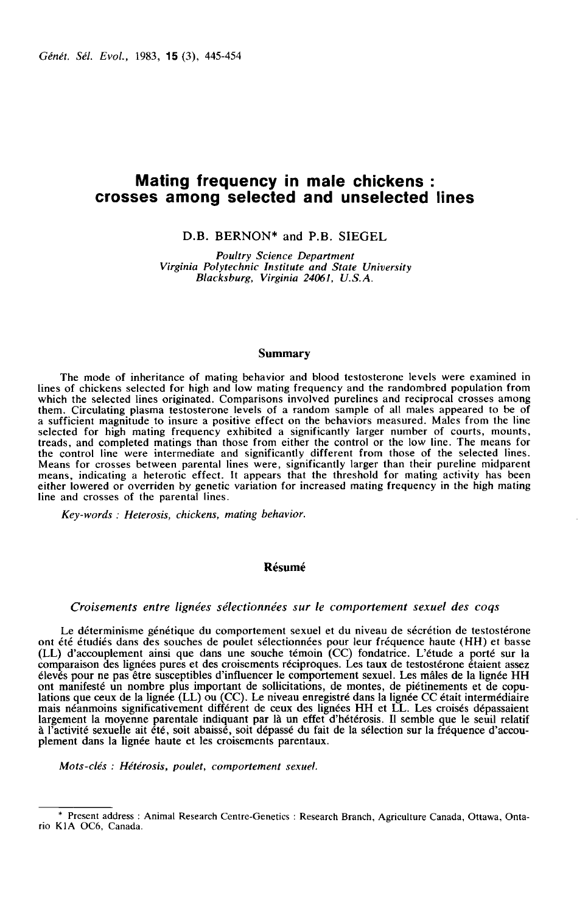# Mating frequency in male chickens : crosses among selected and unselected lines

D.B. BERNON\* and P.B. SIEGEL

Poultry Science Department Virginia Polytechnic Institute and State University Blacksburg, Virginia 24061, U.S.A.

#### Summary

The mode of inheritance of mating behavior and blood testosterone levels were examined in lines of chickens selected for high and low mating frequency and the randombred population from which the selected lines originated. Comparisons involved purelines and reciprocal crosses among them. Circulating plasma testosterone levels of a random sample of all males appeared to be of a sufficient magnitude to insure a positive effect on the behaviors measured. Males from the line selected for high mating frequency exhibited a significantly larger number of courts, mounts, treads, and completed matings than those from either the control or the low line. The means for the control line were intermediate and significantly different from those of the selected lines. Means for crosses between parental lines were, significantly larger than their pureline midparent means, indicating a heterotic effect. It appears that the threshold for mating activity has been either lowered or overriden by genetic variation for increased mating frequency in the high mating line and crosses of the parental lines.

Key-words : Heterosis, chickens, mating behavior.

### Résumé

#### Croisements entre lignées sélectionnées sur le comportement sexuel des coqs

Le déterminisme génétique du comportement sexuel et du niveau de sécrétion de testostérone ont été étudiés dans des souches de poulet sélectionnées pour leur fréquence haute (HH) et basse (LL) d'accouplement ainsi que dans une souche témoin (CC) fondatrice. L'étude a porté sur la comparaison des lignées pures et des croisements réciproques. Les taux de testostérone étaient assez élevés pour ne pas être susceptibles d'influencer le comportement sexuel. Les mâles de la lignée HH ont manifesté un nombre plus important de sollicitations, de montes, de piétinements et de copu-<br>lations que ceux de la lignée (LL) ou (CC). Le niveau enregistré dans la lignée CC était intermédiaire<br>mais néanmoins signifi largement la moyenne parentale indiquant par là un effet d'hétérosis. Il semble que le seuil relatif à l'activité sexuelle ait été, soit abaissé, soit dépassé du fait de la sélection sur la fréquence d'accouplement dans la lignée haute et les croisements parentaux.

Mots-clés : Hétérosis, poulet, comportement sexuel.

<sup>\*</sup> Present address : Animal Research Centre-Genetics : Research Branch, Agriculture Canada, Ottawa, Onta- rio KIA OC6, Canada.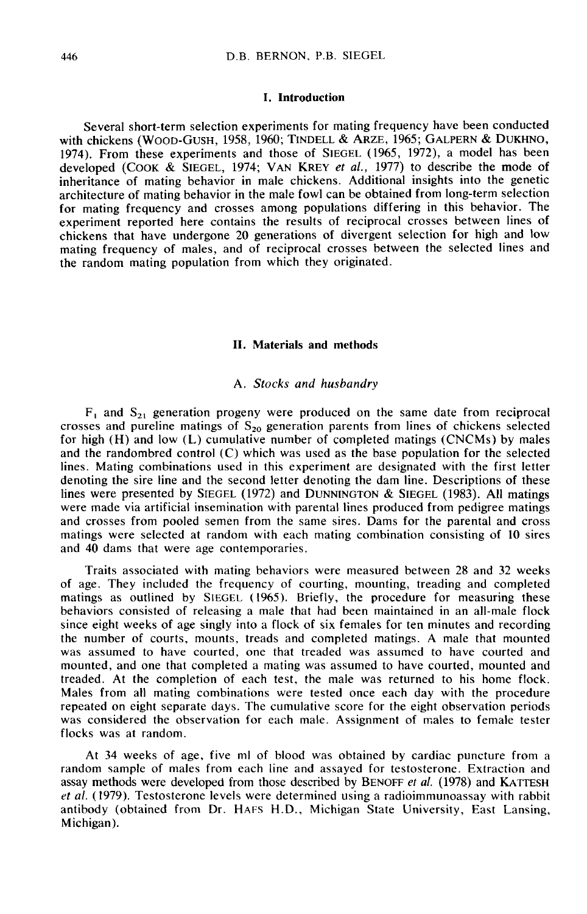#### I. Introduction

Several short-term selection experiments for mating frequency have been conducted **EXECUTE:**<br>
Several short-term selection experiments for mating frequency have been conducted<br>
with chickens (WOOD-GUSH, 1958, 1960; TINDELL & ARZE, 1965; GALPERN & DUKHNO,<br>
1974). From these experiments and those of SIEG 1974). From these experiments and those of SIEGEL (1965, 1972), a model has been developed (COOK & SIEGEL, 1974; VAN KREY *et al.*, 1977) to describe the mode of inheritance of mating behavior in male chickens. Additional insights into the genetic architecture of mating behavior in the male fowl can be obtained from long-term selection for mating frequency and crosses among populations differing in this behavior. The experiment reported here contains the results of reciprocal crosses between lines of chickens that have undergone 20 generations of divergent selection for high and low mating frequency of males, and of reciprocal crosses between the selected lines and the random mating population from which they originated.

#### II. Materials and methods

#### A. Stocks and husbandry

 $F_1$  and  $S_{21}$  generation progeny were produced on the same date from reciprocal crosses and pureline matings of  $S_{20}$  generation parents from lines of chickens selected for high (H) and low (L) cumulative number of completed matings (CNCMs) by males and the randombred control (C) which was used as the base population for the selected lines. Mating combinations used in this experiment are designated with the first letter denoting the sire line and the second letter denoting the dam line. Descriptions of these lines were presented by SIEGEL  $(1972)$  and DUNNINGTON & SIEGEL  $(1983)$ . All matings  $F_1$  and  $S_{21}$  generation progeny were produced on the same date from reciprocal crosses and pureline matings of  $S_{20}$  generation parents from lines of chickens selected for high (H) and low (L) cumulative number of and crosses from pooled semen from the same sires. Dams for the parental and cross matings were selected at random with each mating combination consisting of 10 sires and 40 dams that were age contemporaries.

Traits associated with mating behaviors were measured between 28 and 32 weeks of age. They included the frequency of courting, mounting, treading and completed matings as outlined by SIEGEL ( 1965). Briefly, the procedure for measuring these behaviors consisted of releasing a male that had been maintained in an all-male flock since eight weeks of age singly into a flock of six females for ten minutes and recording the number of courts, mounts, treads and completed matings. A male that mounted was assumed to have courted, one that treaded was assumed to have courted and mounted, and one that completed a mating was assumed to have courted, mounted and treaded. At the completion of each test, the male was returned to his home flock. Males from all mating combinations were tested once each day with the procedure repeated on eight separate days. The cumulative score for the eight observation periods was considered the observation for each male. Assignment of males to female tester flocks was at random.

At 34 weeks of age, five ml of blood was obtained by cardiac puncture from a random sample of males from each line and assayed for testosterone. Extraction and Flocks was at random.<br>At 34 weeks of age, five ml of blood was obtained by cardiac puncture from a<br>random sample of males from each line and assayed for testosterone. Extraction and<br>assay methods were developed from those et al. (1979). Testosterone levels were determined using a radioimmunoassay with rabbit antibody (obtained from Dr. HAFS H.D., Michigan State University, East Lansing, assay methods were developed from those described by BENOFF *et al.* (1978) and KATTESH *et al.* (1979). Testosterone levels were determined using a radioimmunoassay with rabbit antibody (obtained from Dr. HAFS H.D., Michi Michigan).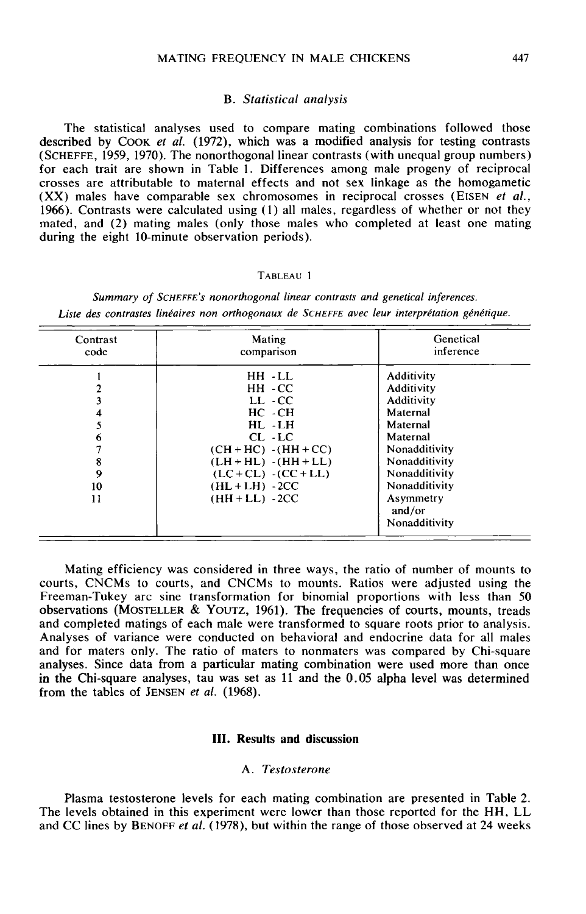#### B. Statistical analysis

The statistical analyses used to compare mating combinations followed those described by COOK et al. (1972), which was a modified analysis for testing contrasts (ScHEFFE, 1959, 1970). The nonorthogonal linear contrasts (with unequal group numbers) for each trait are shown in Table 1. Differences among male progeny of reciprocal crosses are attributable to maternal effects and not sex linkage as the homogametic  $(XX)$  males have comparable sex chromosomes in reciprocal crosses (EISEN et al., 1966). Contrasts were calculated using  $(1)$  all males, regardless of whether or not they mated, and (2) mating males (only those males who completed at least one mating during the eight 10-minute observation periods).

## TABLEAU 1

| Contrast                | Mating                                                                                                                                                                               | Genetical                                                                                                                                                                                     |
|-------------------------|--------------------------------------------------------------------------------------------------------------------------------------------------------------------------------------|-----------------------------------------------------------------------------------------------------------------------------------------------------------------------------------------------|
| code                    | comparison                                                                                                                                                                           | inference                                                                                                                                                                                     |
| n<br>8<br>9<br>10<br>11 | HH - LL<br>HH-CC<br>$LL - CC$<br>$HC - CH$<br>$HL$ $-LH$<br>$CL$ -LC<br>$(CH + HC) - (HH + CC)$<br>$(LH+HL) - (HH+LL)$<br>$(LC+CL)$ -(CC+LL)<br>$(HL+LH) - 2CC$<br>$(HH + LL) - 2CC$ | Additivity<br>Additivity<br><b>Additivity</b><br>Maternal<br>Maternal<br>Maternal<br>Nonadditivity<br>Nonadditivity<br>Nonadditivity<br>Nonadditivity<br>Asymmetry<br>and/or<br>Nonadditivity |

Summary of SCHEFFE's nonorthogonal linear contrasts and genetical inferences. Liste des contrastes linéaires non orthogonaux de SCHEFFE avec leur interprétation génétique.

Mating efficiency was considered in three ways, the ratio of number of mounts to courts, CNCMs to courts, and CNCMs to mounts. Ratios were adjusted using the Freeman-Tukey arc sine transformation for binomial proportions with less than 50 observations (MOSTELLER & YOUTZ, 1961). The frequencies of courts, mounts, treads and completed matings of each male were transformed to square roots prior to analysis. Analyses of variance were conducted on behavioral and endocrine data for all males and for maters only. The ratio of maters to nonmaters was compared by Chi-square analyses. Since data from a particular mating combination were used more than once in the Chi-square analyses, tau was set as 11 and the 0.05 alpha level was determined from the tables of JENSEN et al. (1968).

## III. Results and discussion

## A. Testosterone

Plasma testosterone levels for each mating combination are presented in Table 2. The levels obtained in this experiment were lower than those reported for the HH, LL Plasma testosterone levels for each mating combination are presented in Table 2.<br>The levels obtained in this experiment were lower than those reported for the HH, LL<br>and CC lines by BENOFF *et al.* (1978), but within the r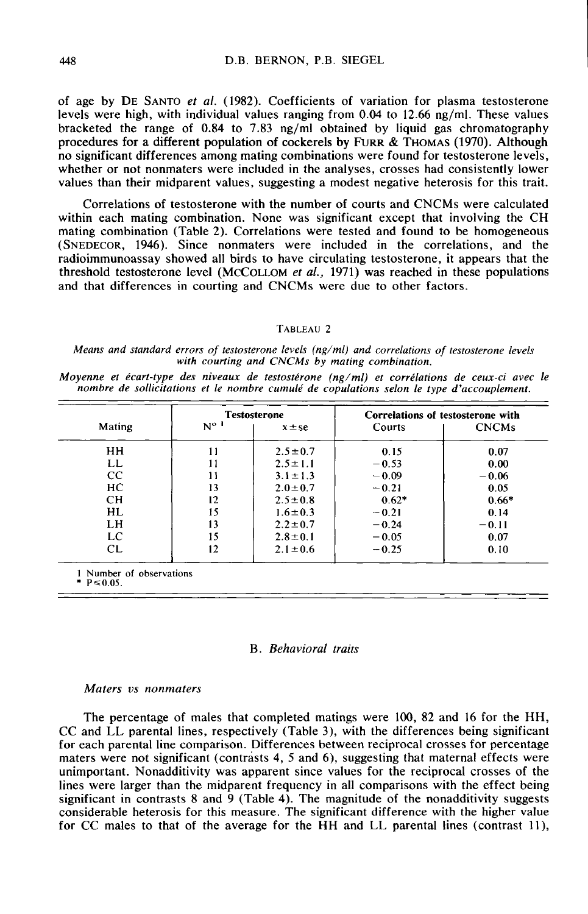448 D.B. BERNON, P.B. SIEGEL<br>of age by DE SANTO *et al.* (1982). Coefficients of variation for plasma testosterone levels were high, with individual values ranging from 0.04 to 12.66 ng/ml. These values bracketed the range of 0.84 to 7.83 ng/ml obtained by liquid gas chromatography procedures for a different population of cockerels by FURR & THOMAS (1970). Although no significant differences among mating combinations were found for testosterone levels, whether or not nonmaters were included in the analyses, crosses had consistently lower values than their midparent values, suggesting a modest negative heterosis for this trait.

Correlations of testosterone with the number of courts and CNCMs were calculated within each mating combination. None was significant except that involving the CH mating combination (Table 2). Correlations were tested and found to be homogeneous whether or not nonmaters were included in the analyses, crosses had consistently lower<br>values than their midparent values, suggesting a modest negative heterosis for this trait.<br>Correlations of testosterone with the number radioimmunoassay showed all birds to have circulating testosterone, it appears that the threshold testosterone level (MCCOLLOM *et al.*, 1971) was reached in these populations Correlations of testosterone with the number of courts and CNCMs were calculated<br>within each mating combination. None was significant except that involving the CH<br>mating combination (Table 2). Correlations were tested and and that differences in courting and CNCMs were due to other factors.

#### TABLEAU 2

Means and standard errors of testosterone levels  $(ng/ml)$  and correlations of testosterone levels with courting and CNCMs by mating combination.

Moyenne et écart-type des niveaux de testostérone (ng/ml) et corrélations de ceux-ci avec le nombre de sollicitations et le nombre cumulé de copulations selon le type d'accouplement.

|             |           | <b>Testosterone</b> |         | Correlations of testosterone with |
|-------------|-----------|---------------------|---------|-----------------------------------|
| Mating      | $N^{o-1}$ | $x \pm s e$         | Courts  | <b>CNCMs</b>                      |
| HH          | 11        | $2.5 \pm 0.7$       | 0.15    | 0.07                              |
| LL          | 11        | $2.5 \pm 1.1$       | $-0.53$ | 0.00                              |
| $_{\rm CC}$ | 11        | $3.1 \pm 1.3$       | $-0.09$ | $-0.06$                           |
| HC.         | 13        | $2.0 \pm 0.7$       | $-0.21$ | 0.05                              |
| <b>CH</b>   | 12        | $2.5 \pm 0.8$       | $0.62*$ | $0.66*$                           |
| <b>HL</b>   | 15        | $1.6 \pm 0.3$       | $-0.21$ | 0.14                              |
| LH.         | 13        | $2.2 \pm 0.7$       | $-0.24$ | $-0.11$                           |
| LC          | 15        | $2.8 \pm 0.1$       | $-0.05$ | 0.07                              |
| CL          | 12        | $2.1 \pm 0.6$       | $-0.25$ | 0.10                              |

 $P \le 0.05$ .

## B. Behavioral traits

#### Maters vs nonmaters

The percentage of males that completed matings were 100, 82 and 16 for the HH, CC and LL parental lines, respectively (Table 3), with the differences being significant for each parental line comparison. Differences between reciprocal crosses for percentage maters were not significant (contrasts 4, 5 and 6), suggesting that maternal effects were unimportant. Nonadditivity was apparent since values for the reciprocal crosses of the lines were larger than the midparent frequency in all comparisons with the effect being significant in contrasts  $8$  and  $9$  (Table 4). The magnitude of the nonadditivity suggests considerable heterosis for this measure. The significant difference with the higher value for CC males to that of the average for the HH and LL parental lines (contrast 11),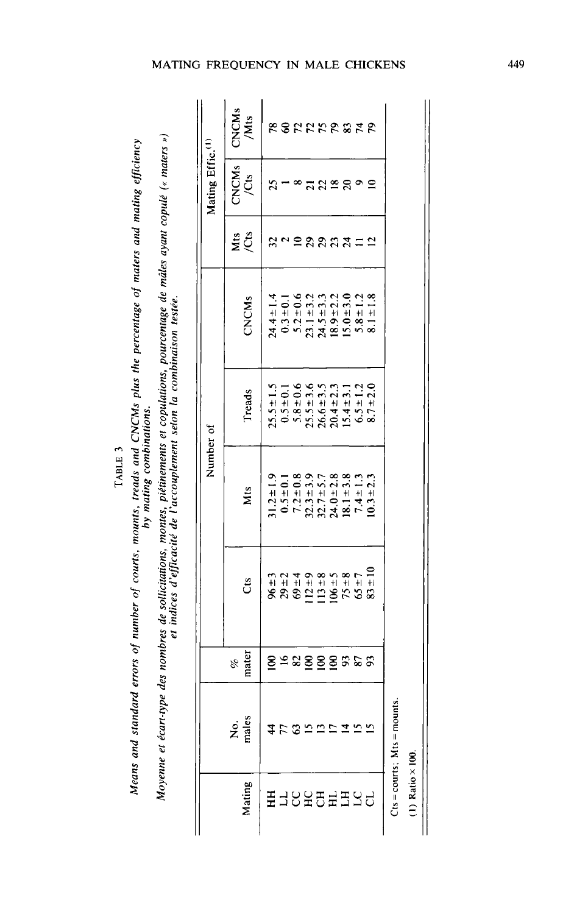| ш |  |
|---|--|
| ٥ |  |
|   |  |

Means and standard errors of number of courts, mounts, treads and CNCMs plus the percentage of maters and mating efficiency<br>by mating combinations.

Moyenne et écart-type des nombres de sollicitations, montes, piétinements et copulations, pourcentage de mâles ayant copulé (« maters »)<br>et indices d'éfficacité de l'accouplement selon la combination textée.

|               |                                                                                                                                                                                                                                                                                                                     |              |                                                                                         | Number of                                                                                                                                              |                                                                                                                                                                |                                                                                                                                                                                        |             | Mating Effic. <sup>(1)</sup> |                      |
|---------------|---------------------------------------------------------------------------------------------------------------------------------------------------------------------------------------------------------------------------------------------------------------------------------------------------------------------|--------------|-----------------------------------------------------------------------------------------|--------------------------------------------------------------------------------------------------------------------------------------------------------|----------------------------------------------------------------------------------------------------------------------------------------------------------------|----------------------------------------------------------------------------------------------------------------------------------------------------------------------------------------|-------------|------------------------------|----------------------|
|               |                                                                                                                                                                                                                                                                                                                     |              |                                                                                         |                                                                                                                                                        |                                                                                                                                                                |                                                                                                                                                                                        |             |                              |                      |
| Mating        | $\frac{1}{2}$ $\frac{1}{2}$ $\frac{1}{2}$ $\frac{1}{2}$ $\frac{1}{2}$ $\frac{1}{2}$ $\frac{1}{2}$ $\frac{1}{2}$ $\frac{1}{2}$ $\frac{1}{2}$ $\frac{1}{2}$ $\frac{1}{2}$ $\frac{1}{2}$ $\frac{1}{2}$ $\frac{1}{2}$ $\frac{1}{2}$ $\frac{1}{2}$ $\frac{1}{2}$ $\frac{1}{2}$ $\frac{1}{2}$ $\frac{1}{2}$ $\frac{1}{2}$ | mater<br>er. | čŝ                                                                                      | Mts                                                                                                                                                    | Treads                                                                                                                                                         | <b>CNCMs</b>                                                                                                                                                                           | <b>SE</b>   | CNCMs<br>/Cts                | <b>CNCMs</b><br>/Mts |
|               |                                                                                                                                                                                                                                                                                                                     |              |                                                                                         |                                                                                                                                                        |                                                                                                                                                                |                                                                                                                                                                                        |             |                              |                      |
|               | 4                                                                                                                                                                                                                                                                                                                   |              |                                                                                         |                                                                                                                                                        | $25.5 \pm 1.5$                                                                                                                                                 |                                                                                                                                                                                        |             | 25                           |                      |
|               |                                                                                                                                                                                                                                                                                                                     |              |                                                                                         |                                                                                                                                                        |                                                                                                                                                                |                                                                                                                                                                                        |             |                              |                      |
| U 1995 3 1995 | 732                                                                                                                                                                                                                                                                                                                 | 822888828    | $96 \pm 3$ $29 \pm 2$ $29 \pm 4$ $12 \pm 9$ $12 \pm 8$ $12 \pm 8$ $16 \pm 5$ $75 \pm 8$ | $31.2 \pm 1.9$<br>$0.5 \pm 0.1$<br>$0.5 \pm 0.8$<br>$7.2 \pm 3.9$<br>$2.2 \pm 5.7$<br>$2.4 \pm 5.7$<br>$2.4 \pm 5.8$<br>$2.4 \pm 5.8$<br>$2.4 \pm 3.8$ | $0.5 \pm 0.1$<br>$5.8 \pm 3.6$<br>$5.8 \pm 3.5$<br>$2.5 \pm 3.5$<br>$2.4 \pm 2.3$<br>$2.4 \pm 3.1$<br>$1.2$<br>$0.5 \pm 1.2$<br>$0.5 \pm 1.2$<br>$0.5 \pm 1.2$ | $24.4 \pm 1.4$ $2.5 \pm 0.5$ $2.5 \pm 0.5$ $2.5 \pm 1.5$ $2.5 \pm 1.5$ $2.5 \pm 1.5$ $2.5 \pm 1.5$ $2.5 \pm 1.5$ $2.5 \pm 1.5$ $2.5 \pm 1.5$ $2.5 \pm 1.5$ $2.5 \pm 1.5$ $2.5 \pm 1.5$ | ຕ∾≘ຂຂຕສ     |                              | R SARKE SAR          |
|               |                                                                                                                                                                                                                                                                                                                     |              |                                                                                         |                                                                                                                                                        |                                                                                                                                                                |                                                                                                                                                                                        |             |                              |                      |
|               | $\mathbf{r}$                                                                                                                                                                                                                                                                                                        |              |                                                                                         |                                                                                                                                                        |                                                                                                                                                                |                                                                                                                                                                                        |             |                              |                      |
|               | ⊵                                                                                                                                                                                                                                                                                                                   |              |                                                                                         |                                                                                                                                                        |                                                                                                                                                                |                                                                                                                                                                                        |             |                              |                      |
|               | ≖                                                                                                                                                                                                                                                                                                                   |              |                                                                                         |                                                                                                                                                        |                                                                                                                                                                |                                                                                                                                                                                        |             |                              |                      |
|               | ≌                                                                                                                                                                                                                                                                                                                   |              | $65 \pm 7$                                                                              | $7.4 \pm 1.3$                                                                                                                                          |                                                                                                                                                                |                                                                                                                                                                                        | $\Xi$ $\Xi$ | ສສ≊ສິ                        |                      |
|               | $\overline{5}$                                                                                                                                                                                                                                                                                                      |              | $83 \pm 10$                                                                             | $0.3 = 2.3$                                                                                                                                            |                                                                                                                                                                |                                                                                                                                                                                        |             |                              |                      |
|               | ts.<br>$Cts = \text{counts}$ ; Mts = mou                                                                                                                                                                                                                                                                            |              |                                                                                         |                                                                                                                                                        |                                                                                                                                                                |                                                                                                                                                                                        |             |                              |                      |

 $(1)$  Ratio  $\times$  100.

## MATING FREQUENCY IN MALE CHICKENS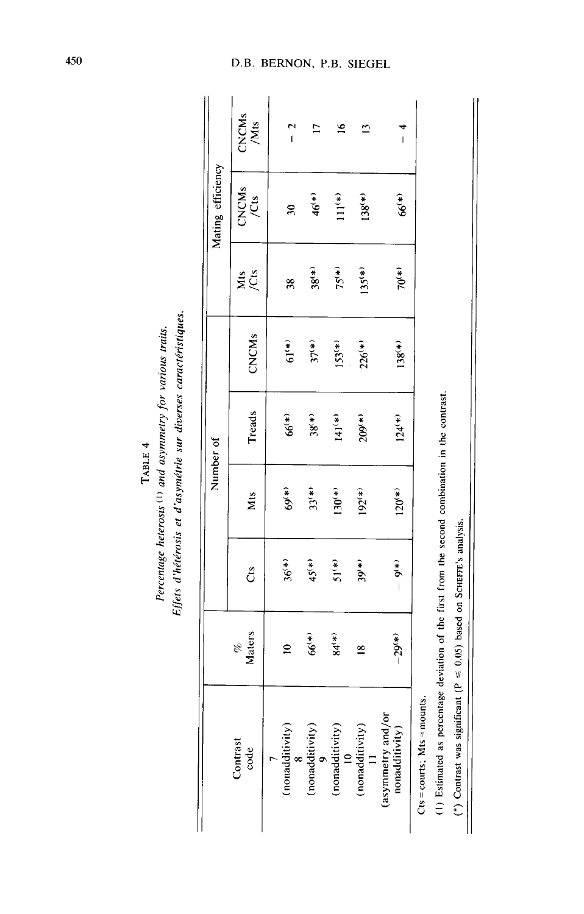| í<br>в |  |
|--------|--|
|        |  |
|        |  |
|        |  |
|        |  |

Effets d'hétérosis et d'asymétrie sur diverses caractéristiques. Percentage heterosis (1) and asymmetry for various traits.

|                                         |                        |            |             | Number of   |                     |             | Mating efficiency        |                          |
|-----------------------------------------|------------------------|------------|-------------|-------------|---------------------|-------------|--------------------------|--------------------------|
| Contrast<br>code                        | $\frac{\%}{\%}$ Maters | ĉŝ         | Mts         | Treads      | <b>CNCMs</b>        | Mis<br>/Cts | CNCMs<br>/Cts            | CNCMs<br>/Mts            |
| (nonadditivity)<br>$\frac{8}{1}$        | $\overline{a}$         | $36^{(+)}$ | $69^{(*)}$  | $66(*)$     | $61$ <sup>(*)</sup> | 38          | $\overline{\mathcal{E}}$ | $\mathbf 2$              |
| (nonadditivity)<br>$\ddot{\phantom{0}}$ | $66(*)$                | $45^{(*)}$ | $33^{(*)}$  | $38^{(*)}$  | $37^{(*)}$          | $38^{(*)}$  | $46^{(*)}$               | $\overline{\phantom{0}}$ |
| (nonadditivity)<br>$\approx$            | $84(*)$                | $51(*)$    | $130^{(*)}$ | $141^{(*)}$ | $153(*)$            | $75(*)$     | $11(*)$                  | $\tilde{=}$              |
| $($ nonadditivity $)$<br>$11$           | $\frac{8}{16}$         | $39(*)$    | $192^{(*)}$ | $209^{(*)}$ | $226(*)$            | $135^{(*)}$ | $138^{(*)}$              | $\overline{1}$           |
| (asymmetry and/or<br>nonadditivity)     | $-29^{(*)}$            | $-9(*)$    | $120^{(*)}$ | $124^{(*)}$ | $138^{(*)}$         | $70(*)$     | $66(*)$                  | न<br>।                   |
| $Cts = \text{counts}$ ; Mts = mounts.   |                        |            |             |             |                     |             |                          |                          |

(1) Estimated as percentage deviation of the first from the second combination in the contrast.

(\*) Contrast was significant ( $P \le 0.05$ ) based on SCHEFFE's analysis.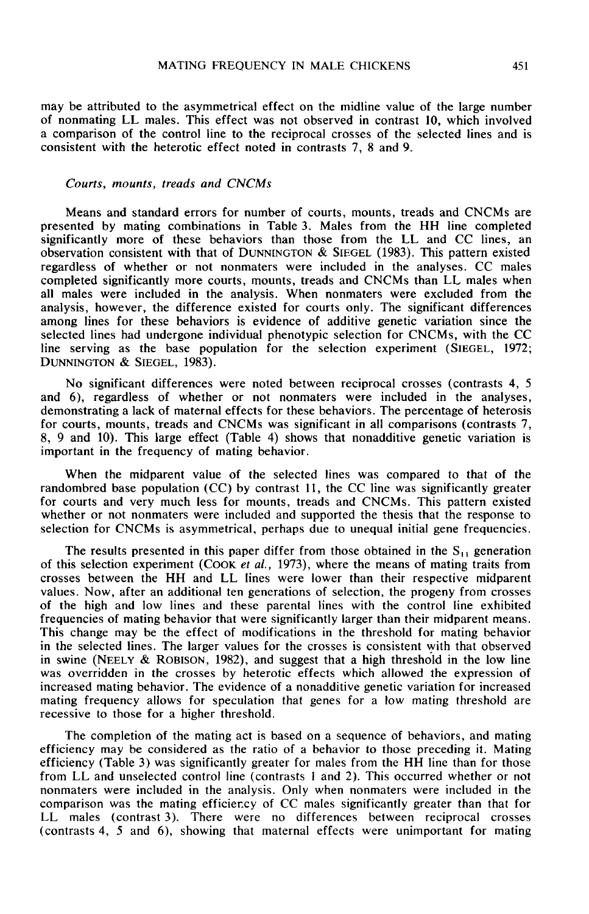may be attributed to the asymmetrical effect on the midline value of the large number of nonmating LL males. This effect was not observed in contrast 10, which involved a comparison of the control line to the reciprocal crosses of the selected lines and is consistent with the heterotic effect noted in contrasts 7, 8 and 9.

#### Courts, mounts, treads and CNCMs

Means and standard errors for number of courts, mounts, treads and CNCMs are presented by mating combinations in Table 3. Males from the HH line completed significantly more of these behaviors than those from the LL and CC lines, an observation consistent with that of DUNNINGTON  $\&$  SIEGEL (1983). This pattern existed regardless of whether or not nonmaters were included in the analyses. CC males completed significantly more courts, mounts, treads and CNCMs than LL males when all males were included in the analysis. When nonmaters were excluded from the analysis, however, the difference existed for courts only. The significant differences among lines for these behaviors is evidence of additive genetic variation since the selected lines had undergone individual phenotypic selection for CNCMs, with the CC all males were included in the analysis. When nonmaters were excluded from the analysis, however, the difference existed for courts only. The significant differences among lines for these behaviors is evidence of additive DUNNINGTON & SIEGEL, 1983).

No significant differences were noted between reciprocal crosses (contrasts 4, 5 and 6), regardless of whether or not nonmaters were included in the analyses, demonstrating a lack of maternal effects for these behaviors. The percentage of heterosis for courts, mounts, treads and CNCMs was significant in all comparisons (contrasts 7, 8, 9 and 10). This large effect (Table 4) shows that nonadditive genetic variation is important in the frequency of mating behavior.

When the midparent value of the selected lines was compared to that of the randombred base population (CC) by contrast 11, the CC line was significantly greater for courts and very much less for mounts, treads and CNCMs. This pattern existed whether or not nonmaters were included and supported the thesis that the response to selection for CNCMs is asymmetrical, perhaps due to unequal initial gene frequencies.

The results presented in this paper differ from those obtained in the  $S_{11}$  generation of this selection experiment (Coox et al., 1973), where the means of mating traits from crosses between the HH and LL lines were lower than their respective midparent values. Now, after an additional ten generations of selection, the progeny from crosses of the high and low lines and these parental lines with the control line exhibited<br>frequencies of mating behavior that were significantly larger than their midparent means.<br>This change may be the effect of modifications in frequencies of mating behavior that were significantly larger than their midparent means. This change may be the effect of modifications in the threshold for mating behavior in the selected lines. The larger values for the crosses is consistent with that observed in swine (NEELY & ROBISON, 1982), and suggest that a high threshold in the low line was overridden in the crosses by heterotic effects which allowed the expression of increased mating behavior. The evidence of a nonadditive genetic variation for increased mating frequency allows for speculation that genes for a low mating threshold are recessive to those for a higher threshold.

The completion of the mating act is based on a sequence of behaviors, and mating efficiency may be considered as the ratio of a behavior to those preceding it. Mating efficiency (Table 3) was significantly greater for males from the HH line than for those from LL and unselected control line (contrasts 1 and 2). This occurred whether or not nonmaters were included in the analysis. Only when nonmaters were included in the comparison was the mating efficiency of CC males significantly greater than that for LL males (contrast 3). There were no differences between reciprocal crosses (contrasts 4, 5 and 6), showing that maternal effects were unimportant for mating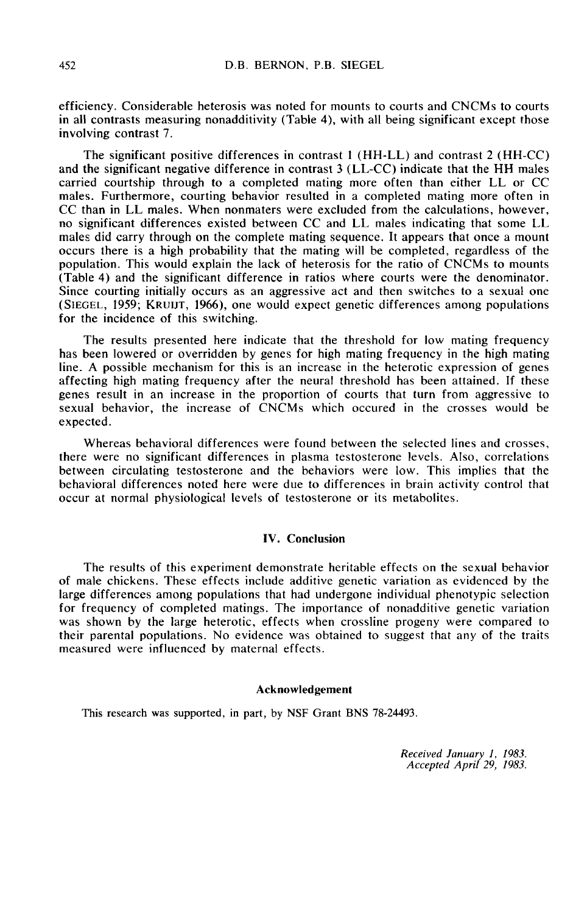efficiency. Considerable heterosis was noted for mounts to courts and CNCMs to courts in all contrasts measuring nonadditivity (Table 4), with all being significant except those involving contrast 7.

The significant positive differences in contrast I (HH-LL) and contrast 2 (HH-CC) and the significant negative difference in contrast 3 (LL-CC) indicate that the HH males carried courtship through to a completed mating more often than either LL or CC males. Furthermore, courting behavior resulted in a completed mating more often in CC than in LL males. When nonmaters were excluded from the calculations, however, no significant differences existed between CC and LL males indicating that some LL males did carry through on the complete mating sequence. It appears that once a mount occurs there is a high probability that the mating will be completed, regardless of the occurs there is a high probability that the mating will be completed, regardless of the population. This would explain the lack of heterosis for the ratio of CNCMs to mounts (Table 4) and the significant difference in rati (Table 4) and the significant difference in ratios where courts were the denominator. Since courting initially occurs as an aggressive act and then switches to a sexual one (SIEGEL, 1959; KRUIJT, 1966), one would expect genetic differences among populations for the incidence of this switching.

The results presented here indicate that the threshold for low mating frequency has been lowered or overridden by genes for high mating frequency in the high mating line. A possible mechanism for this is an increase in the heterotic expression of genes affecting high mating frequency after the neural threshold has been attained. If these genes result in an increase in the proportion of courts that turn from aggressive to sexual behavior, the increase of CNCMs which occured in the crosses would be expected.

Whereas behavioral differences were found between the selected lines and crosses, there were no significant differences in plasma testosterone levels. Also, correlations between circulating testosterone and the behaviors were low. This implies that the behavioral differences noted here were due to differences in brain activity control that occur at normal physiological levels of testosterone or its metabolites.

## IV. Conclusion

The results of this experiment demonstrate heritable effects on the sexual behavior of male chickens. These effects include additive genetic variation as evidenced by the large differences among populations that had undergone individual phenotypic selection for frequency of completed matings. The importance of nonadditive genetic variation was shown by the large heterotic, effects when crossline progeny were compared to their parental populations. No evidence was obtained to suggest that any of the traits measured were influenced by maternal effects.

#### Acknowledgement

This research was supported, in part, by NSF Grant BNS 78-24493.

Received January 1, 1983. Accepted April 29, 1983.